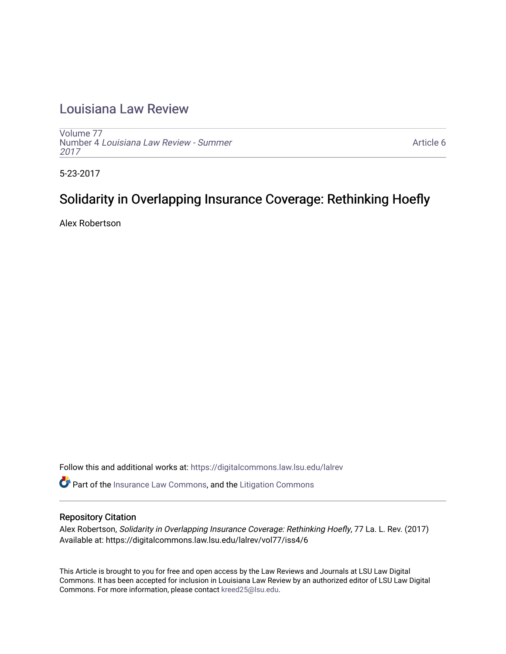## [Louisiana Law Review](https://digitalcommons.law.lsu.edu/lalrev)

[Volume 77](https://digitalcommons.law.lsu.edu/lalrev/vol77) Number 4 [Louisiana Law Review - Summer](https://digitalcommons.law.lsu.edu/lalrev/vol77/iss4) [2017](https://digitalcommons.law.lsu.edu/lalrev/vol77/iss4) 

[Article 6](https://digitalcommons.law.lsu.edu/lalrev/vol77/iss4/6) 

5-23-2017

# Solidarity in Overlapping Insurance Coverage: Rethinking Hoefly

Alex Robertson

Follow this and additional works at: [https://digitalcommons.law.lsu.edu/lalrev](https://digitalcommons.law.lsu.edu/lalrev?utm_source=digitalcommons.law.lsu.edu%2Flalrev%2Fvol77%2Fiss4%2F6&utm_medium=PDF&utm_campaign=PDFCoverPages)

Part of the [Insurance Law Commons](http://network.bepress.com/hgg/discipline/607?utm_source=digitalcommons.law.lsu.edu%2Flalrev%2Fvol77%2Fiss4%2F6&utm_medium=PDF&utm_campaign=PDFCoverPages), and the [Litigation Commons](http://network.bepress.com/hgg/discipline/910?utm_source=digitalcommons.law.lsu.edu%2Flalrev%2Fvol77%2Fiss4%2F6&utm_medium=PDF&utm_campaign=PDFCoverPages)

## Repository Citation

Alex Robertson, Solidarity in Overlapping Insurance Coverage: Rethinking Hoefly, 77 La. L. Rev. (2017) Available at: https://digitalcommons.law.lsu.edu/lalrev/vol77/iss4/6

This Article is brought to you for free and open access by the Law Reviews and Journals at LSU Law Digital Commons. It has been accepted for inclusion in Louisiana Law Review by an authorized editor of LSU Law Digital Commons. For more information, please contact [kreed25@lsu.edu](mailto:kreed25@lsu.edu).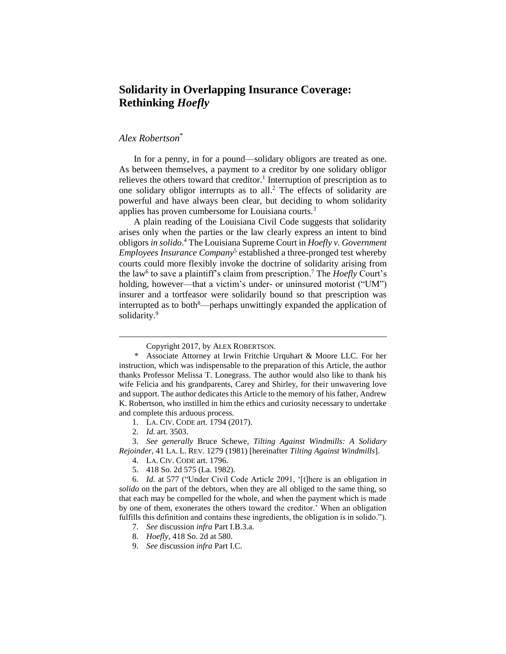## **Solidarity in Overlapping Insurance Coverage: Rethinking** *Hoefly*

## *Alex Robertson*\*

In for a penny, in for a pound—solidary obligors are treated as one. As between themselves, a payment to a creditor by one solidary obligor relieves the others toward that creditor.<sup>1</sup> Interruption of prescription as to one solidary obligor interrupts as to all.<sup>2</sup> The effects of solidarity are powerful and have always been clear, but deciding to whom solidarity applies has proven cumbersome for Louisiana courts.<sup>3</sup>

A plain reading of the Louisiana Civil Code suggests that solidarity arises only when the parties or the law clearly express an intent to bind obligors *in solido*. <sup>4</sup> The Louisiana Supreme Court in *Hoefly v. Government Employees Insurance Company*<sup>5</sup> established a three-pronged test whereby courts could more flexibly invoke the doctrine of solidarity arising from the law<sup>6</sup> to save a plaintiff's claim from prescription.<sup>7</sup> The *Hoefly* Court's holding, however—that a victim's under- or uninsured motorist ("UM") insurer and a tortfeasor were solidarily bound so that prescription was interrupted as to both<sup>8</sup>—perhaps unwittingly expanded the application of solidarity.<sup>9</sup>

Copyright 2017, by ALEX ROBERTSON.

Associate Attorney at Irwin Fritchie Urquhart & Moore LLC. For her instruction, which was indispensable to the preparation of this Article, the author thanks Professor Melissa T. Lonegrass. The author would also like to thank his wife Felicia and his grandparents, Carey and Shirley, for their unwavering love and support. The author dedicates this Article to the memory of his father, Andrew K. Robertson, who instilled in him the ethics and curiosity necessary to undertake and complete this arduous process.

<sup>1.</sup> LA. CIV. CODE art. 1794 (2017).

<sup>2.</sup> *Id.* art. 3503.

<sup>3.</sup> *See generally* Bruce Schewe, *Tilting Against Windmills: A Solidary Rejoinder*, 41 LA. L. REV. 1279 (1981) [hereinafter *Tilting Against Windmills*].

<sup>4.</sup> LA. CIV. CODE art. 1796.

<sup>5.</sup> 418 So. 2d 575 (La. 1982).

<sup>6.</sup> *Id.* at 577 ("Under Civil Code Article 2091, '[t]here is an obligation *in solido* on the part of the debtors, when they are all obliged to the same thing, so that each may be compelled for the whole, and when the payment which is made by one of them, exonerates the others toward the creditor.' When an obligation fulfills this definition and contains these ingredients, the obligation is in solido.").

<sup>7.</sup> *See* discussion *infra* Part I.B.3.a.

<sup>8.</sup> *Hoefly*, 418 So. 2d at 580.

<sup>9.</sup> *See* discussion *infra* Part I.C.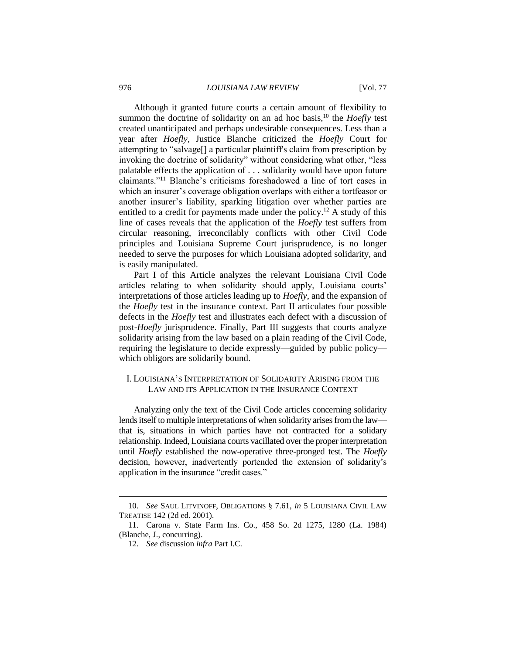Although it granted future courts a certain amount of flexibility to summon the doctrine of solidarity on an ad hoc basis,<sup>10</sup> the *Hoefly* test created unanticipated and perhaps undesirable consequences. Less than a year after *Hoefly*, Justice Blanche criticized the *Hoefly* Court for attempting to "salvage[] a particular plaintiff's claim from prescription by invoking the doctrine of solidarity" without considering what other, "less palatable effects the application of . . . solidarity would have upon future claimants."<sup>11</sup> Blanche's criticisms foreshadowed a line of tort cases in which an insurer's coverage obligation overlaps with either a tortfeasor or another insurer's liability, sparking litigation over whether parties are entitled to a credit for payments made under the policy.<sup>12</sup> A study of this line of cases reveals that the application of the *Hoefly* test suffers from circular reasoning, irreconcilably conflicts with other Civil Code principles and Louisiana Supreme Court jurisprudence, is no longer needed to serve the purposes for which Louisiana adopted solidarity, and is easily manipulated.

Part I of this Article analyzes the relevant Louisiana Civil Code articles relating to when solidarity should apply, Louisiana courts' interpretations of those articles leading up to *Hoefly*, and the expansion of the *Hoefly* test in the insurance context. Part II articulates four possible defects in the *Hoefly* test and illustrates each defect with a discussion of post-*Hoefly* jurisprudence. Finally, Part III suggests that courts analyze solidarity arising from the law based on a plain reading of the Civil Code, requiring the legislature to decide expressly—guided by public policy which obligors are solidarily bound.

## I. LOUISIANA'S INTERPRETATION OF SOLIDARITY ARISING FROM THE LAW AND ITS APPLICATION IN THE INSURANCE CONTEXT

Analyzing only the text of the Civil Code articles concerning solidarity lends itself to multiple interpretations of when solidarity arises from the law that is, situations in which parties have not contracted for a solidary relationship. Indeed, Louisiana courts vacillated over the proper interpretation until *Hoefly* established the now-operative three-pronged test. The *Hoefly* decision, however, inadvertently portended the extension of solidarity's application in the insurance "credit cases."

<sup>10.</sup> *See* SAUL LITVINOFF, OBLIGATIONS § 7.61, *in* 5 LOUISIANA CIVIL LAW TREATISE 142 (2d ed. 2001).

<sup>11.</sup> Carona v. State Farm Ins. Co., 458 So. 2d 1275, 1280 (La. 1984) (Blanche, J., concurring).

<sup>12.</sup> *See* discussion *infra* Part I.C.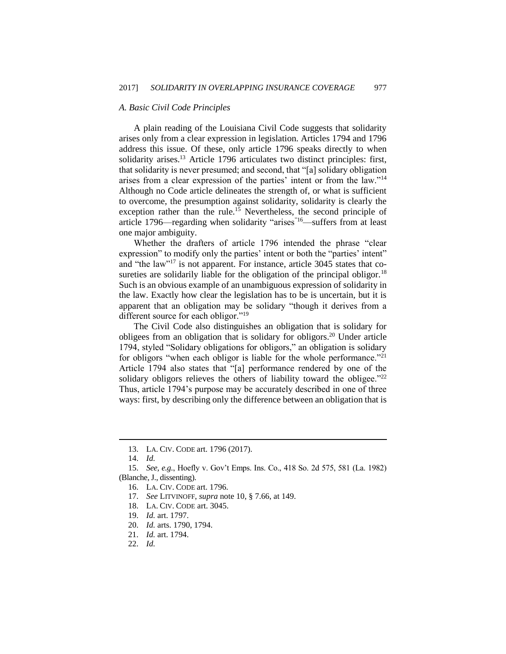#### *A. Basic Civil Code Principles*

A plain reading of the Louisiana Civil Code suggests that solidarity arises only from a clear expression in legislation. Articles 1794 and 1796 address this issue. Of these, only article 1796 speaks directly to when solidarity arises. $13$  Article 1796 articulates two distinct principles: first, that solidarity is never presumed; and second, that "[a] solidary obligation arises from a clear expression of the parties' intent or from the law."<sup>14</sup> Although no Code article delineates the strength of, or what is sufficient to overcome, the presumption against solidarity, solidarity is clearly the exception rather than the rule.<sup>15</sup> Nevertheless, the second principle of article 1796—regarding when solidarity "arises"16—suffers from at least one major ambiguity.

Whether the drafters of article 1796 intended the phrase "clear expression" to modify only the parties' intent or both the "parties' intent" and "the law"<sup>17</sup> is not apparent. For instance, article 3045 states that cosureties are solidarily liable for the obligation of the principal obligor.<sup>18</sup> Such is an obvious example of an unambiguous expression of solidarity in the law. Exactly how clear the legislation has to be is uncertain, but it is apparent that an obligation may be solidary "though it derives from a different source for each obligor."<sup>19</sup>

The Civil Code also distinguishes an obligation that is solidary for obligees from an obligation that is solidary for obligors. <sup>20</sup> Under article 1794, styled "Solidary obligations for obligors," an obligation is solidary for obligors "when each obligor is liable for the whole performance."<sup>21</sup> Article 1794 also states that "[a] performance rendered by one of the solidary obligors relieves the others of liability toward the obligee." $^{22}$ Thus, article 1794's purpose may be accurately described in one of three ways: first, by describing only the difference between an obligation that is

<sup>13.</sup> LA. CIV. CODE art. 1796 (2017).

<sup>14.</sup> *Id.*

<sup>15.</sup> *See, e.g.*, Hoefly v. Gov't Emps. Ins. Co., 418 So. 2d 575, 581 (La. 1982) (Blanche, J., dissenting).

<sup>16.</sup> LA. CIV. CODE art. 1796.

<sup>17.</sup> *See* LITVINOFF, *supra* note 10, § 7.66, at 149.

<sup>18.</sup> LA. CIV. CODE art. 3045.

<sup>19.</sup> *Id.* art. 1797.

<sup>20.</sup> *Id.* arts. 1790, 1794.

<sup>21.</sup> *Id.* art. 1794.

<sup>22.</sup> *Id.*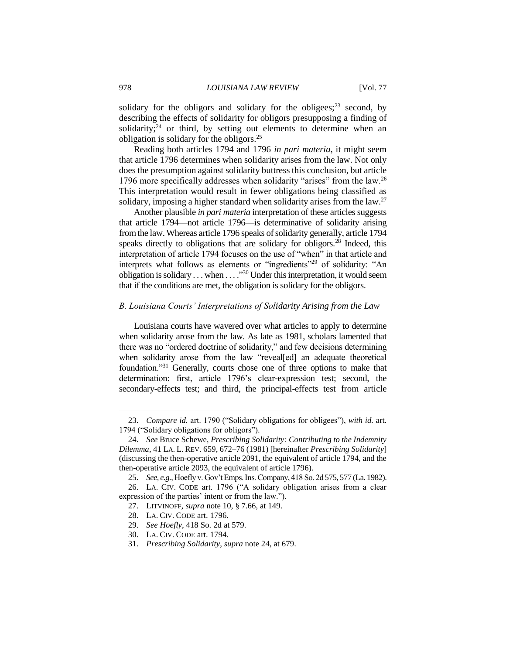solidary for the obligors and solidary for the obligees; $^{23}$  second, by describing the effects of solidarity for obligors presupposing a finding of solidarity; $24$  or third, by setting out elements to determine when an obligation is solidary for the obligors.<sup>25</sup>

Reading both articles 1794 and 1796 *in pari materia*, it might seem that article 1796 determines when solidarity arises from the law. Not only does the presumption against solidarity buttress this conclusion, but article 1796 more specifically addresses when solidarity "arises" from the law.<sup>26</sup> This interpretation would result in fewer obligations being classified as solidary, imposing a higher standard when solidarity arises from the law.<sup>27</sup>

Another plausible *in pari materia* interpretation of these articles suggests that article 1794—not article 1796—is determinative of solidarity arising fromthe law. Whereas article 1796 speaks of solidarity generally, article 1794 speaks directly to obligations that are solidary for obligors.<sup>28</sup> Indeed, this interpretation of article 1794 focuses on the use of "when" in that article and interprets what follows as elements or "ingredients"<sup>29</sup> of solidarity: "An obligation is solidary . . . when . . . ."<sup>30</sup> Under this interpretation, it would seem that if the conditions are met, the obligation is solidary for the obligors.

## *B. Louisiana Courts' Interpretations of Solidarity Arising from the Law*

Louisiana courts have wavered over what articles to apply to determine when solidarity arose from the law. As late as 1981, scholars lamented that there was no "ordered doctrine of solidarity," and few decisions determining when solidarity arose from the law "reveal[ed] an adequate theoretical foundation."<sup>31</sup> Generally, courts chose one of three options to make that determination: first, article 1796's clear-expression test; second, the secondary-effects test; and third, the principal-effects test from article

<sup>23.</sup> *Compare id.* art. 1790 ("Solidary obligations for obligees"), *with id.* art. 1794 ("Solidary obligations for obligors").

<sup>24.</sup> *See* Bruce Schewe, *Prescribing Solidarity: Contributing to the Indemnity Dilemma*, 41 LA. L. REV. 659, 672–76 (1981) [hereinafter *Prescribing Solidarity*] (discussing the then-operative article 2091, the equivalent of article 1794, and the then-operative article 2093, the equivalent of article 1796).

<sup>25.</sup> *See, e.g.*, Hoefly v. Gov't Emps. Ins. Company, 418 So. 2d 575, 577 (La. 1982).

<sup>26.</sup> LA. CIV. CODE art. 1796 ("A solidary obligation arises from a clear expression of the parties' intent or from the law.").

<sup>27.</sup> LITVINOFF, *supra* note 10, § 7.66, at 149.

<sup>28.</sup> LA. CIV. CODE art. 1796.

<sup>29.</sup> *See Hoefly*, 418 So. 2d at 579.

<sup>30.</sup> LA. CIV. CODE art. 1794.

<sup>31.</sup> *Prescribing Solidarity*, *supra* note 24, at 679.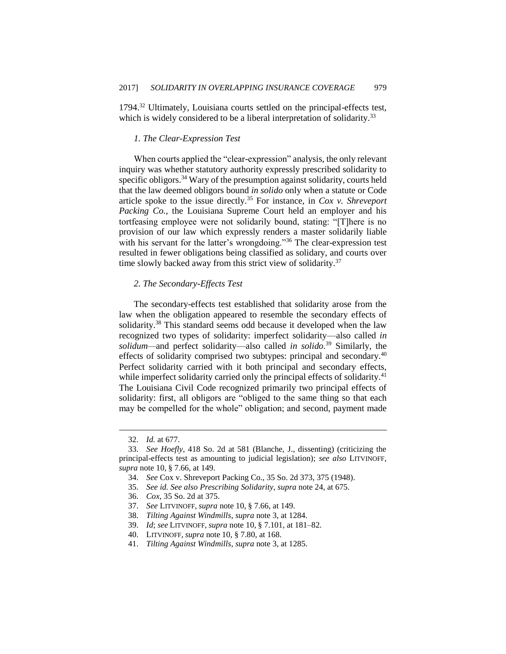1794.<sup>32</sup> Ultimately, Louisiana courts settled on the principal-effects test, which is widely considered to be a liberal interpretation of solidarity.<sup>33</sup>

#### *1. The Clear-Expression Test*

When courts applied the "clear-expression" analysis, the only relevant inquiry was whether statutory authority expressly prescribed solidarity to specific obligors.<sup>34</sup> Wary of the presumption against solidarity, courts held that the law deemed obligors bound *in solido* only when a statute or Code article spoke to the issue directly.<sup>35</sup> For instance, in *Cox v. Shreveport Packing Co.*, the Louisiana Supreme Court held an employer and his tortfeasing employee were not solidarily bound, stating: "[T]here is no provision of our law which expressly renders a master solidarily liable with his servant for the latter's wrongdoing."<sup>36</sup> The clear-expression test resulted in fewer obligations being classified as solidary, and courts over time slowly backed away from this strict view of solidarity.<sup>37</sup>

#### *2. The Secondary-Effects Test*

The secondary-effects test established that solidarity arose from the law when the obligation appeared to resemble the secondary effects of solidarity.<sup>38</sup> This standard seems odd because it developed when the law recognized two types of solidarity: imperfect solidarity—also called *in solidum—*and perfect solidarity—also called *in solido*. <sup>39</sup> Similarly, the effects of solidarity comprised two subtypes: principal and secondary.<sup>40</sup> Perfect solidarity carried with it both principal and secondary effects, while imperfect solidarity carried only the principal effects of solidarity.<sup>41</sup> The Louisiana Civil Code recognized primarily two principal effects of solidarity: first, all obligors are "obliged to the same thing so that each may be compelled for the whole" obligation; and second, payment made

- 36. *Cox*, 35 So. 2d at 375.
- 37. *See* LITVINOFF, *supra* note 10, § 7.66, at 149.
- 38. *Tilting Against Windmills*, *supra* note 3, at 1284.
- 39. *Id*; *see* LITVINOFF, *supra* note 10, § 7.101, at 181–82.
- 40. LITVINOFF, *supra* note 10, § 7.80, at 168.
- 41. *Tilting Against Windmills*, *supra* note 3, at 1285.

<sup>32.</sup> *Id.* at 677.

<sup>33.</sup> *See Hoefly*, 418 So. 2d at 581 (Blanche, J., dissenting) (criticizing the principal-effects test as amounting to judicial legislation); *see also* LITVINOFF, *supra* note 10, § 7.66, at 149.

<sup>34.</sup> *See* Cox v. Shreveport Packing Co., 35 So. 2d 373, 375 (1948).

<sup>35.</sup> *See id. See also Prescribing Solidarity*, *supra* note 24, at 675.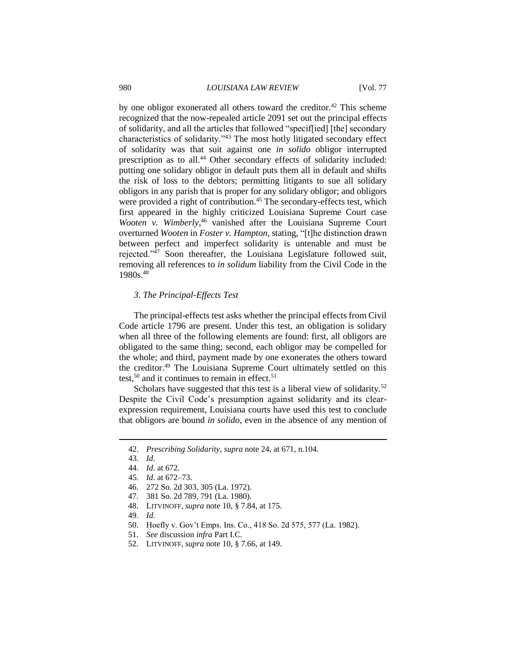by one obligor exonerated all others toward the creditor.<sup>42</sup> This scheme recognized that the now-repealed article 2091 set out the principal effects of solidarity, and all the articles that followed "specif[ied] [the] secondary characteristics of solidarity."<sup>43</sup> The most hotly litigated secondary effect of solidarity was that suit against one *in solido* obligor interrupted prescription as to all.<sup>44</sup> Other secondary effects of solidarity included: putting one solidary obligor in default puts them all in default and shifts the risk of loss to the debtors; permitting litigants to sue all solidary obligors in any parish that is proper for any solidary obligor; and obligors were provided a right of contribution.<sup>45</sup> The secondary-effects test, which first appeared in the highly criticized Louisiana Supreme Court case Wooten v. Wimberly,<sup>46</sup> vanished after the Louisiana Supreme Court overturned *Wooten* in *Foster v. Hampton*, stating, "[t]he distinction drawn between perfect and imperfect solidarity is untenable and must be rejected."<sup>47</sup> Soon thereafter, the Louisiana Legislature followed suit, removing all references to *in solidum* liability from the Civil Code in the 1980s.<sup>48</sup>

## *3. The Principal-Effects Test*

The principal-effects test asks whether the principal effects from Civil Code article 1796 are present. Under this test, an obligation is solidary when all three of the following elements are found: first, all obligors are obligated to the same thing; second, each obligor may be compelled for the whole; and third, payment made by one exonerates the others toward the creditor.<sup>49</sup> The Louisiana Supreme Court ultimately settled on this test,<sup>50</sup> and it continues to remain in effect.<sup>51</sup>

Scholars have suggested that this test is a liberal view of solidarity.<sup>52</sup> Despite the Civil Code's presumption against solidarity and its clearexpression requirement, Louisiana courts have used this test to conclude that obligors are bound *in solido*, even in the absence of any mention of

- 47. 381 So. 2d 789, 791 (La. 1980).
- 48. LITVINOFF, *supra* note 10, § 7.84, at 175.
- 49. *Id.*
- 50. Hoefly v. Gov't Emps. Ins. Co., 418 So. 2d 575, 577 (La. 1982).
- 51. *See* discussion *infra* Part I.C.
- 52. LITVINOFF, *supra* note 10, § 7.66, at 149.

<sup>42.</sup> *Prescribing Solidarity*, *supra* note 24, at 671, n.104.

<sup>43.</sup> *Id*.

<sup>44.</sup> *Id*. at 672.

<sup>45.</sup> *Id*. at 672–73.

<sup>46.</sup> 272 So. 2d 303, 305 (La. 1972).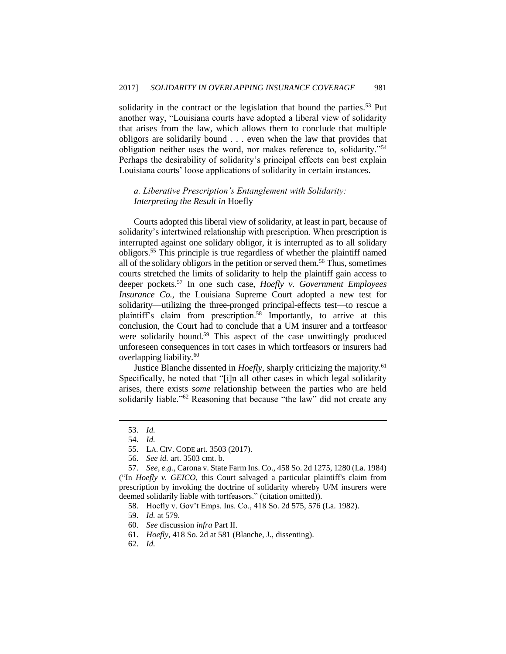solidarity in the contract or the legislation that bound the parties.<sup>53</sup> Put another way, "Louisiana courts have adopted a liberal view of solidarity that arises from the law, which allows them to conclude that multiple obligors are solidarily bound . . . even when the law that provides that obligation neither uses the word, nor makes reference to, solidarity."<sup>54</sup> Perhaps the desirability of solidarity's principal effects can best explain Louisiana courts' loose applications of solidarity in certain instances.

## *a. Liberative Prescription's Entanglement with Solidarity: Interpreting the Result in* Hoefly

Courts adopted this liberal view of solidarity, at least in part, because of solidarity's intertwined relationship with prescription. When prescription is interrupted against one solidary obligor, it is interrupted as to all solidary obligors.<sup>55</sup> This principle is true regardless of whether the plaintiff named all of the solidary obligors in the petition or served them.<sup>56</sup> Thus, sometimes courts stretched the limits of solidarity to help the plaintiff gain access to deeper pockets.<sup>57</sup> In one such case, *Hoefly v. Government Employees Insurance Co.*, the Louisiana Supreme Court adopted a new test for solidarity—utilizing the three-pronged principal-effects test—to rescue a plaintiff's claim from prescription.<sup>58</sup> Importantly, to arrive at this conclusion, the Court had to conclude that a UM insurer and a tortfeasor were solidarily bound.<sup>59</sup> This aspect of the case unwittingly produced unforeseen consequences in tort cases in which tortfeasors or insurers had overlapping liability.<sup>60</sup>

Justice Blanche dissented in *Hoefly*, sharply criticizing the majority.<sup>61</sup> Specifically, he noted that "[i]n all other cases in which legal solidarity arises, there exists *some* relationship between the parties who are held solidarily liable."<sup>62</sup> Reasoning that because "the law" did not create any

<sup>53.</sup> *Id.*

<sup>54.</sup> *Id.*

<sup>55.</sup> LA. CIV. CODE art. 3503 (2017).

<sup>56.</sup> *See id.* art. 3503 cmt. b.

<sup>57.</sup> *See, e.g.*, Carona v. State Farm Ins. Co., 458 So. 2d 1275, 1280 (La. 1984) ("In *Hoefly v. GEICO*, this Court salvaged a particular plaintiff's claim from prescription by invoking the doctrine of solidarity whereby U/M insurers were deemed solidarily liable with tortfeasors." (citation omitted)).

<sup>58.</sup> Hoefly v. Gov't Emps. Ins. Co., 418 So. 2d 575, 576 (La. 1982).

<sup>59.</sup> *Id.* at 579.

<sup>60.</sup> *See* discussion *infra* Part II.

<sup>61.</sup> *Hoefly*, 418 So. 2d at 581 (Blanche, J., dissenting).

<sup>62.</sup> *Id.*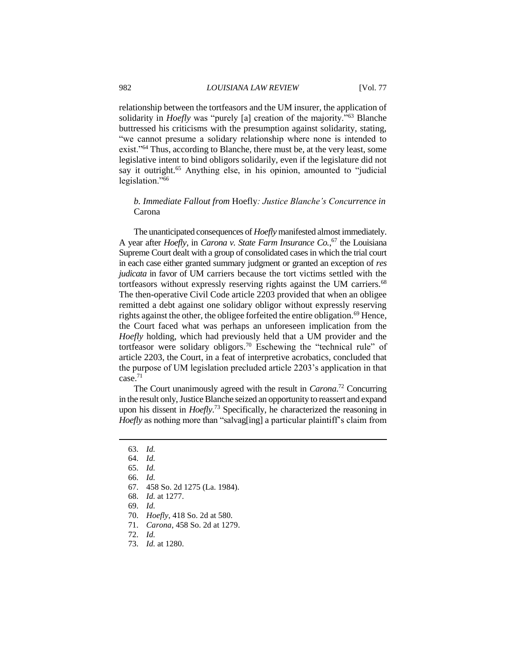relationship between the tortfeasors and the UM insurer, the application of solidarity in *Hoefly* was "purely [a] creation of the majority."<sup>63</sup> Blanche buttressed his criticisms with the presumption against solidarity, stating, "we cannot presume a solidary relationship where none is intended to exist."<sup>64</sup> Thus, according to Blanche, there must be, at the very least, some legislative intent to bind obligors solidarily, even if the legislature did not say it outright.<sup>65</sup> Anything else, in his opinion, amounted to "judicial legislation."<sup>66</sup>

## *b. Immediate Fallout from* Hoefly*: Justice Blanche's Concurrence in*  Carona

The unanticipated consequences of *Hoefly* manifested almost immediately. A year after *Hoefly*, in *Carona v. State Farm Insurance Co.*, <sup>67</sup> the Louisiana Supreme Court dealt with a group of consolidated cases in which the trial court in each case either granted summary judgment or granted an exception of *res judicata* in favor of UM carriers because the tort victims settled with the tortfeasors without expressly reserving rights against the UM carriers.<sup>68</sup> The then-operative Civil Code article 2203 provided that when an obligee remitted a debt against one solidary obligor without expressly reserving rights against the other, the obligee forfeited the entire obligation.<sup>69</sup> Hence, the Court faced what was perhaps an unforeseen implication from the *Hoefly* holding, which had previously held that a UM provider and the tortfeasor were solidary obligors.<sup>70</sup> Eschewing the "technical rule" of article 2203, the Court, in a feat of interpretive acrobatics, concluded that the purpose of UM legislation precluded article 2203's application in that case.<sup>71</sup>

The Court unanimously agreed with the result in *Carona*. <sup>72</sup> Concurring in the result only, Justice Blanche seized an opportunity to reassert and expand upon his dissent in *Hoefly*. <sup>73</sup> Specifically, he characterized the reasoning in *Hoefly* as nothing more than "salvag[ing] a particular plaintiff's claim from

 $\overline{a}$ 

71. *Carona*, 458 So. 2d at 1279.

73. *Id.* at 1280.

<sup>63.</sup> *Id.*

<sup>64.</sup> *Id.*

<sup>65.</sup> *Id.*

<sup>66.</sup> *Id.*

<sup>67.</sup> 458 So. 2d 1275 (La. 1984).

<sup>68.</sup> *Id.* at 1277.

<sup>69.</sup> *Id.*

<sup>70.</sup> *Hoefly*, 418 So. 2d at 580.

<sup>72.</sup> *Id.*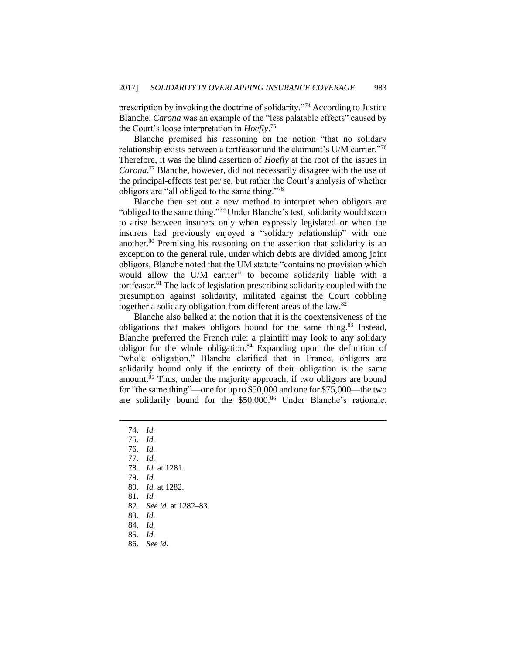prescription by invoking the doctrine of solidarity."<sup>74</sup> According to Justice Blanche, *Carona* was an example of the "less palatable effects" caused by the Court's loose interpretation in *Hoefly*. 75

Blanche premised his reasoning on the notion "that no solidary relationship exists between a tortfeasor and the claimant's U/M carrier."<sup>76</sup> Therefore, it was the blind assertion of *Hoefly* at the root of the issues in *Carona*. <sup>77</sup> Blanche, however, did not necessarily disagree with the use of the principal-effects test per se, but rather the Court's analysis of whether obligors are "all obliged to the same thing."<sup>78</sup>

Blanche then set out a new method to interpret when obligors are "obliged to the same thing."<sup>79</sup> Under Blanche's test, solidarity would seem to arise between insurers only when expressly legislated or when the insurers had previously enjoyed a "solidary relationship" with one another.<sup>80</sup> Premising his reasoning on the assertion that solidarity is an exception to the general rule, under which debts are divided among joint obligors, Blanche noted that the UM statute "contains no provision which would allow the U/M carrier" to become solidarily liable with a tortfeasor.<sup>81</sup> The lack of legislation prescribing solidarity coupled with the presumption against solidarity, militated against the Court cobbling together a solidary obligation from different areas of the law.<sup>82</sup>

Blanche also balked at the notion that it is the coextensiveness of the obligations that makes obligors bound for the same thing.<sup>83</sup> Instead, Blanche preferred the French rule: a plaintiff may look to any solidary obligor for the whole obligation. $84$  Expanding upon the definition of "whole obligation," Blanche clarified that in France, obligors are solidarily bound only if the entirety of their obligation is the same amount.<sup>85</sup> Thus, under the majority approach, if two obligors are bound for "the same thing"—one for up to \$50,000 and one for \$75,000—the two are solidarily bound for the \$50,000.<sup>86</sup> Under Blanche's rationale,

- 80. *Id.* at 1282.
- 81. *Id.*
- 82. *See id.* at 1282–83.
- 83. *Id.*
- 84. *Id.*
- 85. *Id.*
- 86. *See id.*

<sup>74.</sup> *Id.*

<sup>75.</sup> *Id.*

<sup>76.</sup> *Id.*

<sup>77.</sup> *Id.*

<sup>78.</sup> *Id.* at 1281.

<sup>79.</sup> *Id.*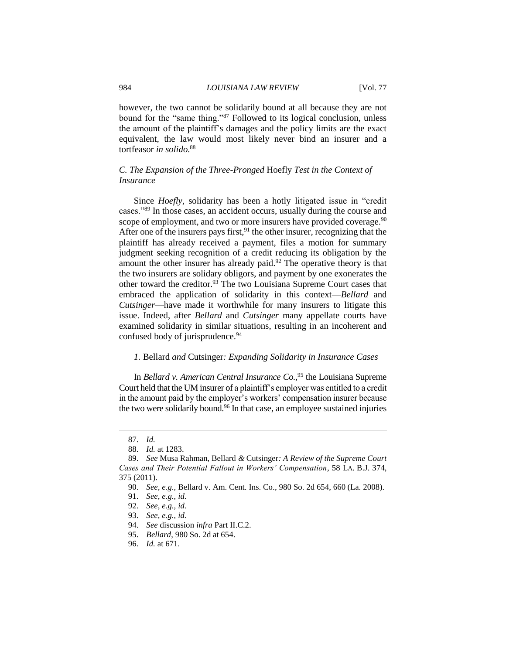however, the two cannot be solidarily bound at all because they are not bound for the "same thing."<sup>87</sup> Followed to its logical conclusion, unless the amount of the plaintiff's damages and the policy limits are the exact equivalent, the law would most likely never bind an insurer and a tortfeasor *in solido*. 88

## *C. The Expansion of the Three-Pronged* Hoefly *Test in the Context of Insurance*

Since *Hoefly*, solidarity has been a hotly litigated issue in "credit cases."<sup>89</sup> In those cases, an accident occurs, usually during the course and scope of employment, and two or more insurers have provided coverage.<sup>90</sup> After one of the insurers pays first,  $91$  the other insurer, recognizing that the plaintiff has already received a payment, files a motion for summary judgment seeking recognition of a credit reducing its obligation by the amount the other insurer has already paid. $92$  The operative theory is that the two insurers are solidary obligors, and payment by one exonerates the other toward the creditor.<sup>93</sup> The two Louisiana Supreme Court cases that embraced the application of solidarity in this context—*Bellard* and *Cutsinger*—have made it worthwhile for many insurers to litigate this issue. Indeed, after *Bellard* and *Cutsinger* many appellate courts have examined solidarity in similar situations, resulting in an incoherent and confused body of jurisprudence.<sup>94</sup>

#### *1.* Bellard *and* Cutsinger*: Expanding Solidarity in Insurance Cases*

In *Bellard v. American Central Insurance Co.*, <sup>95</sup> the Louisiana Supreme Court held that the UM insurer of a plaintiff's employer was entitled to a credit in the amount paid by the employer's workers' compensation insurer because the two were solidarily bound.<sup>96</sup> In that case, an employee sustained injuries

<sup>87.</sup> *Id.*

<sup>88.</sup> *Id.* at 1283.

<sup>89.</sup> *See* Musa Rahman, Bellard *&* Cutsinger*: A Review of the Supreme Court Cases and Their Potential Fallout in Workers' Compensation*, 58 LA. B.J. 374, 375 (2011).

<sup>90.</sup> *See, e.g.*, Bellard v. Am. Cent. Ins. Co., 980 So. 2d 654, 660 (La. 2008).

<sup>91.</sup> *See, e.g.*, *id.*

<sup>92.</sup> *See, e.g.*, *id.*

<sup>93.</sup> *See, e.g.*, *id.*

<sup>94.</sup> *See* discussion *infra* Part II.C.2.

<sup>95.</sup> *Bellard*, 980 So. 2d at 654.

<sup>96.</sup> *Id.* at 671.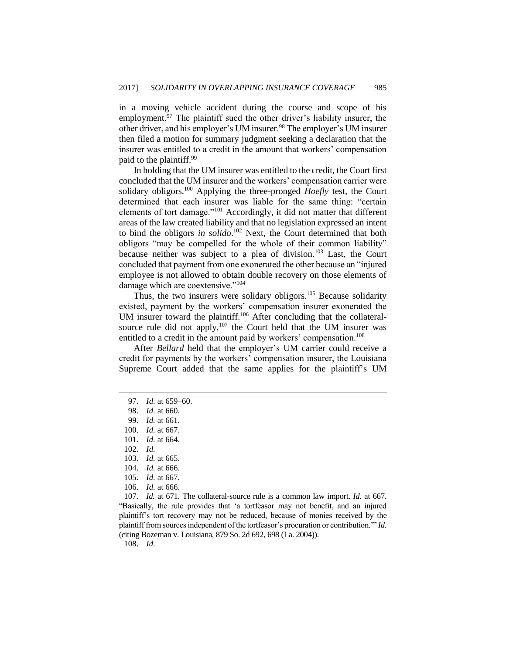in a moving vehicle accident during the course and scope of his employment.<sup>97</sup> The plaintiff sued the other driver's liability insurer, the other driver, and his employer's UM insurer.<sup>98</sup> The employer's UM insurer then filed a motion for summary judgment seeking a declaration that the insurer was entitled to a credit in the amount that workers' compensation paid to the plaintiff.<sup>99</sup>

In holding that the UM insurer was entitled to the credit, the Court first concluded that the UM insurer and the workers' compensation carrier were solidary obligors.<sup>100</sup> Applying the three-pronged *Hoefly* test, the Court determined that each insurer was liable for the same thing: "certain elements of tort damage."<sup>101</sup> Accordingly, it did not matter that different areas of the law created liability and that no legislation expressed an intent to bind the obligors *in solido*. <sup>102</sup> Next, the Court determined that both obligors "may be compelled for the whole of their common liability" because neither was subject to a plea of division.<sup>103</sup> Last, the Court concluded that payment from one exonerated the other because an "injured employee is not allowed to obtain double recovery on those elements of damage which are coextensive."<sup>104</sup>

Thus, the two insurers were solidary obligors.<sup>105</sup> Because solidarity existed, payment by the workers' compensation insurer exonerated the UM insurer toward the plaintiff.<sup>106</sup> After concluding that the collateralsource rule did not apply, $107$  the Court held that the UM insurer was entitled to a credit in the amount paid by workers' compensation.<sup>108</sup>

After *Bellard* held that the employer's UM carrier could receive a credit for payments by the workers' compensation insurer, the Louisiana Supreme Court added that the same applies for the plaintiff's UM

 $\overline{a}$ 

103. *Id.* at 665.

107. *Id.* at 671. The collateral-source rule is a common law import. *Id.* at 667. "Basically, the rule provides that 'a tortfeasor may not benefit, and an injured plaintiff's tort recovery may not be reduced, because of monies received by the plaintiff from sources independent of the tortfeasor's procuration or contribution.'" *Id.*  (citing Bozeman v. Louisiana, 879 So. 2d 692, 698 (La. 2004)).

108. *Id.*

<sup>97.</sup> *Id.* at 659–60.

<sup>98.</sup> *Id.* at 660.

<sup>99.</sup> *Id.* at 661.

<sup>100.</sup> *Id.* at 667.

<sup>101.</sup> *Id.* at 664.

<sup>102.</sup> *Id.*

<sup>104.</sup> *Id.* at 666.

<sup>105.</sup> *Id.* at 667.

<sup>106.</sup> *Id.* at 666.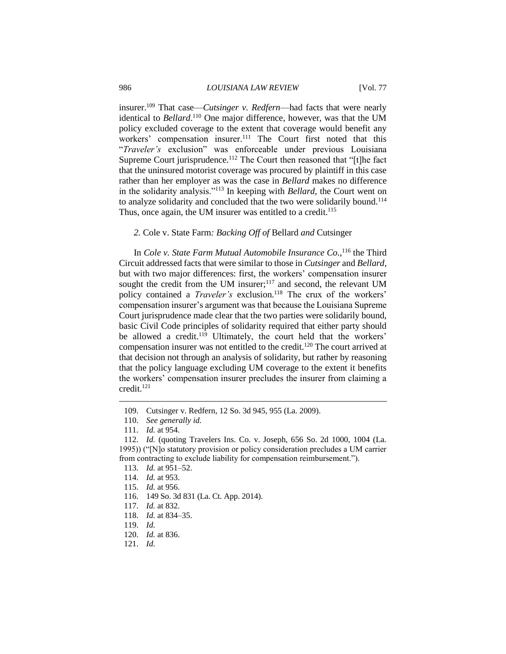insurer.<sup>109</sup> That case—*Cutsinger v. Redfern*—had facts that were nearly identical to *Bellard*.<sup>110</sup> One major difference, however, was that the UM policy excluded coverage to the extent that coverage would benefit any workers' compensation insurer.<sup>111</sup> The Court first noted that this "*Traveler's* exclusion" was enforceable under previous Louisiana Supreme Court jurisprudence.<sup>112</sup> The Court then reasoned that "[t]he fact that the uninsured motorist coverage was procured by plaintiff in this case rather than her employer as was the case in *Bellard* makes no difference in the solidarity analysis."<sup>113</sup> In keeping with *Bellard*, the Court went on to analyze solidarity and concluded that the two were solidarily bound.<sup>114</sup> Thus, once again, the UM insurer was entitled to a credit.<sup>115</sup>

*2.* Cole v. State Farm*: Backing Off of* Bellard *and* Cutsinger

In *Cole v. State Farm Mutual Automobile Insurance Co.*, <sup>116</sup> the Third Circuit addressed facts that were similar to those in *Cutsinger* and *Bellard*, but with two major differences: first, the workers' compensation insurer sought the credit from the UM insurer;<sup>117</sup> and second, the relevant UM policy contained a *Traveler's* exclusion.<sup>118</sup> The crux of the workers' compensation insurer's argument was that because the Louisiana Supreme Court jurisprudence made clear that the two parties were solidarily bound, basic Civil Code principles of solidarity required that either party should be allowed a credit.<sup>119</sup> Ultimately, the court held that the workers' compensation insurer was not entitled to the credit.<sup>120</sup> The court arrived at that decision not through an analysis of solidarity, but rather by reasoning that the policy language excluding UM coverage to the extent it benefits the workers' compensation insurer precludes the insurer from claiming a credit.<sup>121</sup>

- 120. *Id.* at 836.
- 121. *Id.*

<sup>109.</sup> Cutsinger v. Redfern, 12 So. 3d 945, 955 (La. 2009).

<sup>110.</sup> *See generally id.* 

<sup>111.</sup> *Id.* at 954.

<sup>112.</sup> *Id.* (quoting Travelers Ins. Co. v. Joseph, 656 So. 2d 1000, 1004 (La. 1995)) ("[N]o statutory provision or policy consideration precludes a UM carrier from contracting to exclude liability for compensation reimbursement.").

<sup>113.</sup> *Id.* at 951–52.

<sup>114.</sup> *Id.* at 953.

<sup>115.</sup> *Id.* at 956.

<sup>116.</sup> 149 So. 3d 831 (La. Ct. App. 2014).

<sup>117.</sup> *Id.* at 832.

<sup>118.</sup> *Id.* at 834–35.

<sup>119.</sup> *Id.*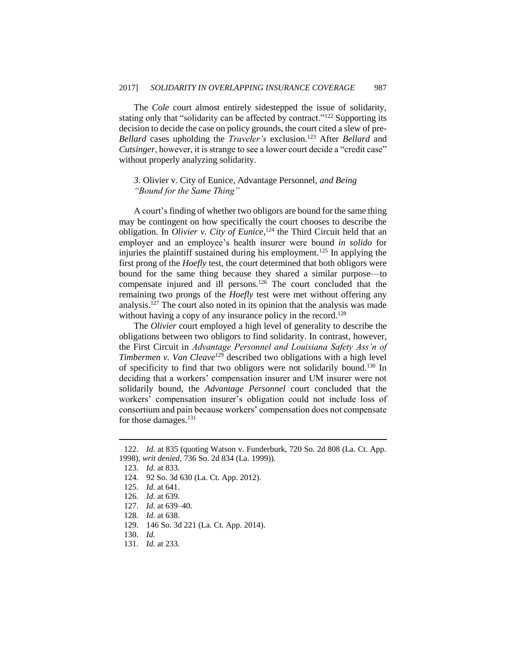The *Cole* court almost entirely sidestepped the issue of solidarity, stating only that "solidarity can be affected by contract."<sup>122</sup> Supporting its decision to decide the case on policy grounds, the court cited a slew of pre*-Bellard* cases upholding the *Traveler's* exclusion.<sup>123</sup> After *Bellard* and *Cutsinger*, however, it is strange to see a lower court decide a "credit case" without properly analyzing solidarity.

*3.* Olivier v. City of Eunice*,* Advantage Personnel*, and Being "Bound for the Same Thing"*

A court's finding of whether two obligors are bound for the same thing may be contingent on how specifically the court chooses to describe the obligation. In *Olivier v. City of Eunice*, <sup>124</sup> the Third Circuit held that an employer and an employee's health insurer were bound *in solido* for injuries the plaintiff sustained during his employment.<sup>125</sup> In applying the first prong of the *Hoefly* test, the court determined that both obligors were bound for the same thing because they shared a similar purpose—to compensate injured and ill persons.<sup>126</sup> The court concluded that the remaining two prongs of the *Hoefly* test were met without offering any analysis.<sup>127</sup> The court also noted in its opinion that the analysis was made without having a copy of any insurance policy in the record.<sup>128</sup>

The *Olivier* court employed a high level of generality to describe the obligations between two obligors to find solidarity. In contrast, however, the First Circuit in *Advantage Personnel and Louisiana Safety Ass'n of Timbermen v. Van Cleave*<sup>129</sup> described two obligations with a high level of specificity to find that two obligors were not solidarily bound.<sup>130</sup> In deciding that a workers' compensation insurer and UM insurer were not solidarily bound, the *Advantage Personnel* court concluded that the workers' compensation insurer's obligation could not include loss of consortium and pain because workers' compensation does not compensate for those damages.<sup>131</sup>

<sup>122.</sup> *Id.* at 835 (quoting Watson v. Funderburk, 720 So. 2d 808 (La. Ct. App. 1998), *writ denied*, 736 So. 2d 834 (La. 1999)).

<sup>123.</sup> *Id.* at 833.

<sup>124.</sup> 92 So. 3d 630 (La. Ct. App. 2012).

<sup>125.</sup> *Id.* at 641.

<sup>126.</sup> *Id.* at 639.

<sup>127.</sup> *Id.* at 639–40.

<sup>128.</sup> *Id.* at 638.

<sup>129.</sup> 146 So. 3d 221 (La. Ct. App. 2014).

<sup>130.</sup> *Id.*

<sup>131.</sup> *Id.* at 233.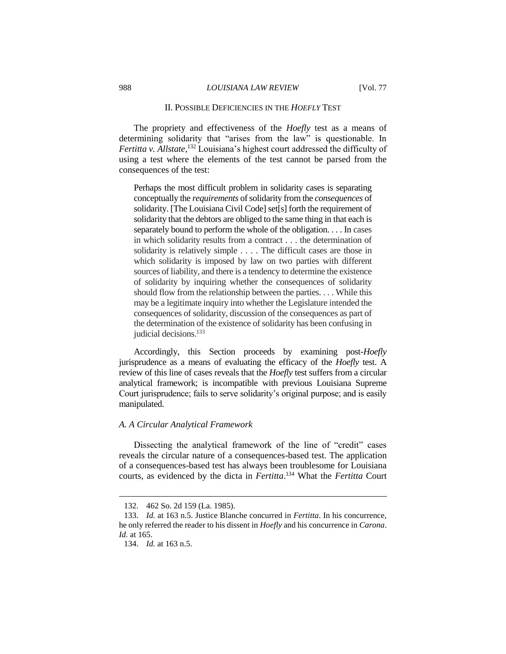## II. POSSIBLE DEFICIENCIES IN THE *HOEFLY* TEST

The propriety and effectiveness of the *Hoefly* test as a means of determining solidarity that "arises from the law" is questionable. In *Fertitta v. Allstate*, <sup>132</sup> Louisiana's highest court addressed the difficulty of using a test where the elements of the test cannot be parsed from the consequences of the test:

Perhaps the most difficult problem in solidarity cases is separating conceptually the *requirements* of solidarity from the *consequences* of solidarity. [The Louisiana Civil Code] set[s] forth the requirement of solidarity that the debtors are obliged to the same thing in that each is separately bound to perform the whole of the obligation. . . . In cases in which solidarity results from a contract . . . the determination of solidarity is relatively simple . . . . The difficult cases are those in which solidarity is imposed by law on two parties with different sources of liability, and there is a tendency to determine the existence of solidarity by inquiring whether the consequences of solidarity should flow from the relationship between the parties. . . . While this may be a legitimate inquiry into whether the Legislature intended the consequences of solidarity, discussion of the consequences as part of the determination of the existence of solidarity has been confusing in judicial decisions.<sup>133</sup>

Accordingly, this Section proceeds by examining post*-Hoefly* jurisprudence as a means of evaluating the efficacy of the *Hoefly* test. A review of this line of cases reveals that the *Hoefly* test suffers from a circular analytical framework; is incompatible with previous Louisiana Supreme Court jurisprudence; fails to serve solidarity's original purpose; and is easily manipulated.

#### *A. A Circular Analytical Framework*

Dissecting the analytical framework of the line of "credit" cases reveals the circular nature of a consequences-based test. The application of a consequences-based test has always been troublesome for Louisiana courts, as evidenced by the dicta in *Fertitta*. <sup>134</sup> What the *Fertitta* Court

<sup>132.</sup> 462 So. 2d 159 (La. 1985).

<sup>133.</sup> *Id.* at 163 n.5. Justice Blanche concurred in *Fertitta*. In his concurrence, he only referred the reader to his dissent in *Hoefly* and his concurrence in *Carona*. *Id.* at 165.

<sup>134.</sup> *Id.* at 163 n.5.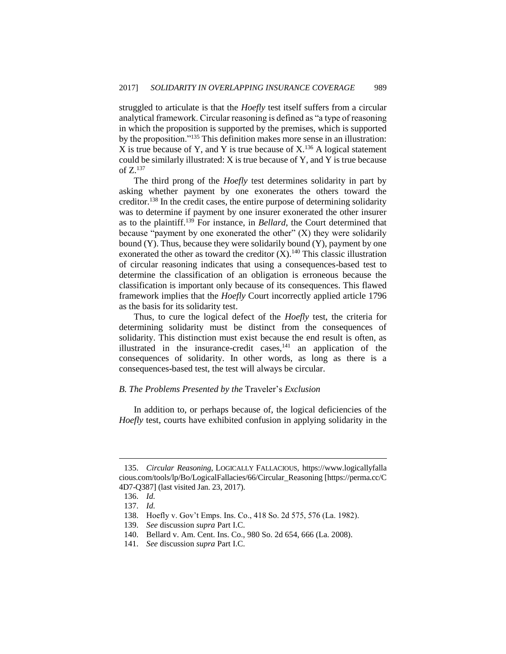struggled to articulate is that the *Hoefly* test itself suffers from a circular analytical framework. Circular reasoning is defined as "a type of reasoning in which the proposition is supported by the premises, which is supported by the proposition."<sup>135</sup> This definition makes more sense in an illustration: X is true because of Y, and Y is true because of  $X<sup>136</sup>$  A logical statement could be similarly illustrated: X is true because of Y, and Y is true because of  $Z^{137}$ 

The third prong of the *Hoefly* test determines solidarity in part by asking whether payment by one exonerates the others toward the creditor.<sup>138</sup> In the credit cases, the entire purpose of determining solidarity was to determine if payment by one insurer exonerated the other insurer as to the plaintiff.<sup>139</sup> For instance, in *Bellard*, the Court determined that because "payment by one exonerated the other"  $(X)$  they were solidarily bound (Y). Thus, because they were solidarily bound (Y), payment by one exonerated the other as toward the creditor  $(X)$ .<sup>140</sup> This classic illustration of circular reasoning indicates that using a consequences-based test to determine the classification of an obligation is erroneous because the classification is important only because of its consequences. This flawed framework implies that the *Hoefly* Court incorrectly applied article 1796 as the basis for its solidarity test.

Thus, to cure the logical defect of the *Hoefly* test, the criteria for determining solidarity must be distinct from the consequences of solidarity. This distinction must exist because the end result is often, as illustrated in the insurance-credit cases, $141$  an application of the consequences of solidarity. In other words, as long as there is a consequences-based test, the test will always be circular.

#### *B. The Problems Presented by the* Traveler's *Exclusion*

In addition to, or perhaps because of, the logical deficiencies of the *Hoefly* test, courts have exhibited confusion in applying solidarity in the

<sup>135.</sup> *Circular Reasoning*, LOGICALLY FALLACIOUS, https://www.logicallyfalla cious.com/tools/lp/Bo/LogicalFallacies/66/Circular\_Reasoning [https://perma.cc/C 4D7-Q387] (last visited Jan. 23, 2017).

<sup>136.</sup> *Id.*

<sup>137.</sup> *Id.*

<sup>138.</sup> Hoefly v. Gov't Emps. Ins. Co., 418 So. 2d 575, 576 (La. 1982).

<sup>139.</sup> *See* discussion *supra* Part I.C.

<sup>140.</sup> Bellard v. Am. Cent. Ins. Co., 980 So. 2d 654, 666 (La. 2008).

<sup>141.</sup> *See* discussion *supra* Part I.C.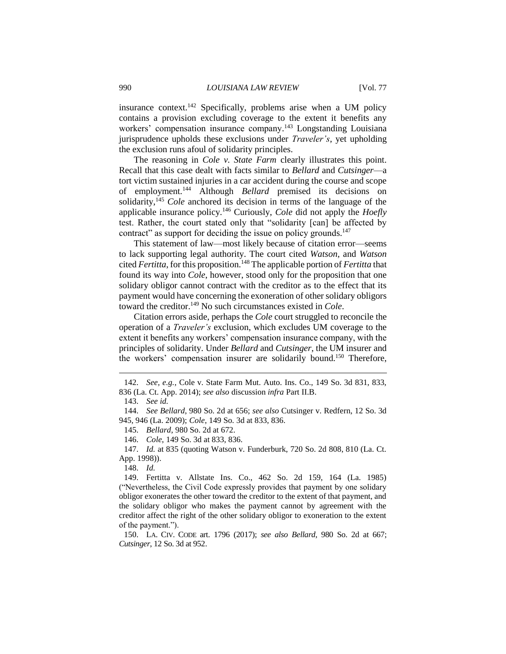insurance context.<sup>142</sup> Specifically, problems arise when a UM policy contains a provision excluding coverage to the extent it benefits any workers' compensation insurance company.<sup>143</sup> Longstanding Louisiana jurisprudence upholds these exclusions under *Traveler's*, yet upholding the exclusion runs afoul of solidarity principles.

The reasoning in *Cole v. State Farm* clearly illustrates this point. Recall that this case dealt with facts similar to *Bellard* and *Cutsinger*—a tort victim sustained injuries in a car accident during the course and scope of employment.<sup>144</sup> Although *Bellard* premised its decisions on solidarity,<sup>145</sup> *Cole* anchored its decision in terms of the language of the applicable insurance policy.<sup>146</sup> Curiously, *Cole* did not apply the *Hoefly* test. Rather, the court stated only that "solidarity [can] be affected by contract" as support for deciding the issue on policy grounds.<sup>147</sup>

This statement of law—most likely because of citation error—seems to lack supporting legal authority. The court cited *Watson*, and *Watson* cited *Fertitta*, for this proposition.<sup>148</sup> The applicable portion of *Fertitta* that found its way into *Cole*, however, stood only for the proposition that one solidary obligor cannot contract with the creditor as to the effect that its payment would have concerning the exoneration of other solidary obligors toward the creditor.<sup>149</sup> No such circumstances existed in *Cole*.

Citation errors aside, perhaps the *Cole* court struggled to reconcile the operation of a *Traveler's* exclusion, which excludes UM coverage to the extent it benefits any workers' compensation insurance company, with the principles of solidarity. Under *Bellard* and *Cutsinger*, the UM insurer and the workers' compensation insurer are solidarily bound. <sup>150</sup> Therefore,

 $\overline{a}$ 

147. *Id.* at 835 (quoting Watson v. Funderburk, 720 So. 2d 808, 810 (La. Ct. App. 1998)).

148. *Id.*

<sup>142.</sup> *See, e.g.*, Cole v. State Farm Mut. Auto. Ins. Co., 149 So. 3d 831, 833, 836 (La. Ct. App. 2014); *see also* discussion *infra* Part II.B.

<sup>143.</sup> *See id.*

<sup>144.</sup> *See Bellard*, 980 So. 2d at 656; *see also* Cutsinger v. Redfern, 12 So. 3d 945, 946 (La. 2009); *Cole*, 149 So. 3d at 833, 836.

<sup>145.</sup> *Bellard*, 980 So. 2d at 672.

<sup>146.</sup> *Cole*, 149 So. 3d at 833, 836.

<sup>149.</sup> Fertitta v. Allstate Ins. Co., 462 So. 2d 159, 164 (La. 1985) ("Nevertheless, the Civil Code expressly provides that payment by one solidary obligor exonerates the other toward the creditor to the extent of that payment, and the solidary obligor who makes the payment cannot by agreement with the creditor affect the right of the other solidary obligor to exoneration to the extent of the payment.").

<sup>150.</sup> LA. CIV. CODE art. 1796 (2017); *see also Bellard*, 980 So. 2d at 667; *Cutsinger*, 12 So. 3d at 952.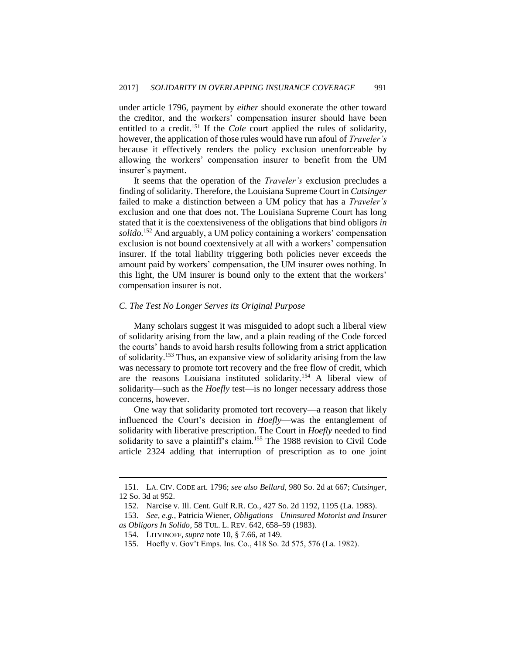under article 1796, payment by *either* should exonerate the other toward the creditor, and the workers' compensation insurer should have been entitled to a credit.<sup>151</sup> If the *Cole* court applied the rules of solidarity, however, the application of those rules would have run afoul of *Traveler's* because it effectively renders the policy exclusion unenforceable by allowing the workers' compensation insurer to benefit from the UM insurer's payment.

It seems that the operation of the *Traveler's* exclusion precludes a finding of solidarity. Therefore, the Louisiana Supreme Court in *Cutsinger* failed to make a distinction between a UM policy that has a *Traveler's*  exclusion and one that does not. The Louisiana Supreme Court has long stated that it is the coextensiveness of the obligations that bind obligors *in solido.*<sup>152</sup> And arguably, a UM policy containing a workers' compensation exclusion is not bound coextensively at all with a workers' compensation insurer. If the total liability triggering both policies never exceeds the amount paid by workers' compensation, the UM insurer owes nothing. In this light, the UM insurer is bound only to the extent that the workers' compensation insurer is not.

#### *C. The Test No Longer Serves its Original Purpose*

Many scholars suggest it was misguided to adopt such a liberal view of solidarity arising from the law, and a plain reading of the Code forced the courts' hands to avoid harsh results following from a strict application of solidarity.<sup>153</sup> Thus, an expansive view of solidarity arising from the law was necessary to promote tort recovery and the free flow of credit, which are the reasons Louisiana instituted solidarity.<sup>154</sup> A liberal view of solidarity—such as the *Hoefly* test—is no longer necessary address those concerns, however.

One way that solidarity promoted tort recovery—a reason that likely influenced the Court's decision in *Hoefly*—was the entanglement of solidarity with liberative prescription. The Court in *Hoefly* needed to find solidarity to save a plaintiff's claim.<sup>155</sup> The 1988 revision to Civil Code article 2324 adding that interruption of prescription as to one joint

<sup>151.</sup> LA. CIV. CODE art. 1796; *see also Bellard*, 980 So. 2d at 667; *Cutsinger*, 12 So. 3d at 952.

<sup>152.</sup> Narcise v. Ill. Cent. Gulf R.R. Co*.*, 427 So. 2d 1192, 1195 (La. 1983).

<sup>153.</sup> *See, e.g.*, Patricia Wiener, *Obligations—Uninsured Motorist and Insurer as Obligors In Solido*, 58 TUL. L. REV. 642, 658–59 (1983).

<sup>154.</sup> LITVINOFF, *supra* note 10, § 7.66, at 149.

<sup>155.</sup> Hoefly v. Gov't Emps. Ins. Co., 418 So. 2d 575, 576 (La. 1982).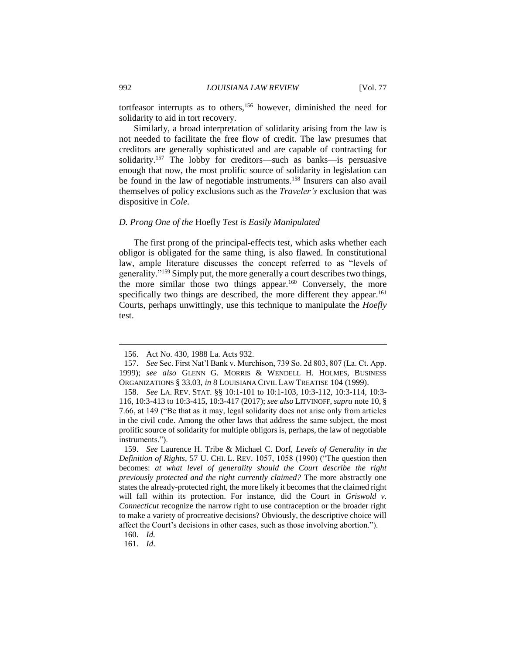tortfeasor interrupts as to others,<sup>156</sup> however, diminished the need for solidarity to aid in tort recovery.

Similarly, a broad interpretation of solidarity arising from the law is not needed to facilitate the free flow of credit. The law presumes that creditors are generally sophisticated and are capable of contracting for solidarity.<sup>157</sup> The lobby for creditors—such as banks—is persuasive enough that now, the most prolific source of solidarity in legislation can be found in the law of negotiable instruments.<sup>158</sup> Insurers can also avail themselves of policy exclusions such as the *Traveler's* exclusion that was dispositive in *Cole*.

## *D. Prong One of the* Hoefly *Test is Easily Manipulated*

The first prong of the principal-effects test, which asks whether each obligor is obligated for the same thing, is also flawed. In constitutional law, ample literature discusses the concept referred to as "levels of generality."<sup>159</sup> Simply put, the more generally a court describes two things, the more similar those two things appear.<sup>160</sup> Conversely, the more specifically two things are described, the more different they appear.<sup>161</sup> Courts, perhaps unwittingly, use this technique to manipulate the *Hoefly* test.

<sup>156.</sup> Act No. 430, 1988 La. Acts 932.

<sup>157.</sup> *See* Sec. First Nat'l Bank v. Murchison, 739 So. 2d 803, 807 (La. Ct. App. 1999); *see also* GLENN G. MORRIS & WENDELL H. HOLMES, BUSINESS ORGANIZATIONS § 33.03, *in* 8 LOUISIANA CIVIL LAW TREATISE 104 (1999).

<sup>158.</sup> *See* LA. REV. STAT. §§ 10:1-101 to 10:1-103, 10:3-112, 10:3-114, 10:3- 116, 10:3-413 to 10:3-415, 10:3-417 (2017); *see also* LITVINOFF, *supra* note 10, § 7.66, at 149 ("Be that as it may, legal solidarity does not arise only from articles in the civil code. Among the other laws that address the same subject, the most prolific source of solidarity for multiple obligors is, perhaps, the law of negotiable instruments.").

<sup>159.</sup> *See* Laurence H. Tribe & Michael C. Dorf, *Levels of Generality in the Definition of Rights*, 57 U. CHI. L. REV. 1057, 1058 (1990) ("The question then becomes: *at what level of generality should the Court describe the right previously protected and the right currently claimed?* The more abstractly one states the already-protected right, the more likely it becomes that the claimed right will fall within its protection. For instance, did the Court in *Griswold v. Connecticut* recognize the narrow right to use contraception or the broader right to make a variety of procreative decisions? Obviously, the descriptive choice will affect the Court's decisions in other cases, such as those involving abortion.").

<sup>160.</sup> *Id.*

<sup>161.</sup> *Id*.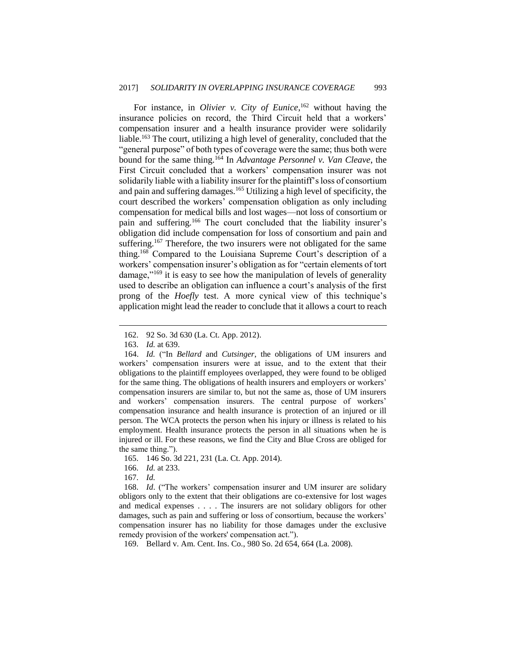For instance, in *Olivier v. City of Eunice*,<sup>162</sup> without having the insurance policies on record, the Third Circuit held that a workers' compensation insurer and a health insurance provider were solidarily liable.<sup>163</sup> The court, utilizing a high level of generality, concluded that the "general purpose" of both types of coverage were the same; thus both were bound for the same thing.<sup>164</sup> In *Advantage Personnel v. Van Cleave*, the First Circuit concluded that a workers' compensation insurer was not solidarily liable with a liability insurer for the plaintiff's loss of consortium and pain and suffering damages.<sup>165</sup> Utilizing a high level of specificity, the court described the workers' compensation obligation as only including compensation for medical bills and lost wages—not loss of consortium or pain and suffering.<sup>166</sup> The court concluded that the liability insurer's obligation did include compensation for loss of consortium and pain and suffering.<sup>167</sup> Therefore, the two insurers were not obligated for the same thing.<sup>168</sup> Compared to the Louisiana Supreme Court's description of a workers' compensation insurer's obligation as for "certain elements of tort damage,"<sup>169</sup> it is easy to see how the manipulation of levels of generality used to describe an obligation can influence a court's analysis of the first prong of the *Hoefly* test. A more cynical view of this technique's application might lead the reader to conclude that it allows a court to reach

 $\overline{a}$ 

- 165. 146 So. 3d 221, 231 (La. Ct. App. 2014).
- 166. *Id.* at 233.

168. *Id*. ("The workers' compensation insurer and UM insurer are solidary obligors only to the extent that their obligations are co-extensive for lost wages and medical expenses . . . . The insurers are not solidary obligors for other damages, such as pain and suffering or loss of consortium, because the workers' compensation insurer has no liability for those damages under the exclusive remedy provision of the workers' compensation act.")*.*

169. Bellard v. Am. Cent. Ins. Co., 980 So. 2d 654, 664 (La. 2008).

<sup>162.</sup> 92 So. 3d 630 (La. Ct. App. 2012).

<sup>163.</sup> *Id.* at 639.

<sup>164.</sup> *Id.* ("In *Bellard* and *Cutsinger*, the obligations of UM insurers and workers' compensation insurers were at issue, and to the extent that their obligations to the plaintiff employees overlapped, they were found to be obliged for the same thing. The obligations of health insurers and employers or workers' compensation insurers are similar to, but not the same as, those of UM insurers and workers' compensation insurers. The central purpose of workers' compensation insurance and health insurance is protection of an injured or ill person. The WCA protects the person when his injury or illness is related to his employment. Health insurance protects the person in all situations when he is injured or ill. For these reasons, we find the City and Blue Cross are obliged for the same thing.").

<sup>167.</sup> *Id.*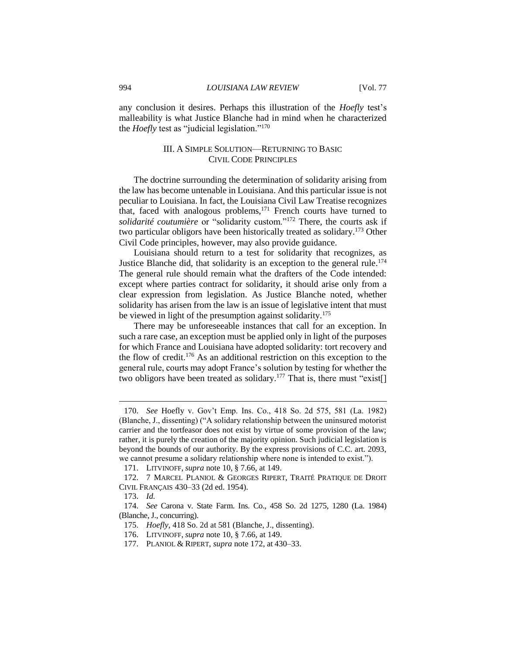any conclusion it desires. Perhaps this illustration of the *Hoefly* test's malleability is what Justice Blanche had in mind when he characterized the *Hoefly* test as "judicial legislation."<sup>170</sup>

## III. A SIMPLE SOLUTION—RETURNING TO BASIC CIVIL CODE PRINCIPLES

The doctrine surrounding the determination of solidarity arising from the law has become untenable in Louisiana. And this particular issue is not peculiar to Louisiana. In fact, the Louisiana Civil Law Treatise recognizes that, faced with analogous problems,<sup>171</sup> French courts have turned to *solidarité coutumière* or "solidarity custom."<sup>172</sup> There, the courts ask if two particular obligors have been historically treated as solidary.<sup>173</sup> Other Civil Code principles, however, may also provide guidance.

Louisiana should return to a test for solidarity that recognizes, as Justice Blanche did, that solidarity is an exception to the general rule.<sup>174</sup> The general rule should remain what the drafters of the Code intended: except where parties contract for solidarity, it should arise only from a clear expression from legislation. As Justice Blanche noted, whether solidarity has arisen from the law is an issue of legislative intent that must be viewed in light of the presumption against solidarity.<sup> $1/5$ </sup>

There may be unforeseeable instances that call for an exception. In such a rare case, an exception must be applied only in light of the purposes for which France and Louisiana have adopted solidarity: tort recovery and the flow of credit.<sup>176</sup> As an additional restriction on this exception to the general rule, courts may adopt France's solution by testing for whether the two obligors have been treated as solidary.<sup>177</sup> That is, there must "exist[]

<sup>170.</sup> *See* Hoefly v. Gov't Emp. Ins. Co., 418 So. 2d 575, 581 (La. 1982) (Blanche, J., dissenting) ("A solidary relationship between the uninsured motorist carrier and the tortfeasor does not exist by virtue of some provision of the law; rather, it is purely the creation of the majority opinion. Such judicial legislation is beyond the bounds of our authority. By the express provisions of C.C. art. 2093, we cannot presume a solidary relationship where none is intended to exist.").

<sup>171.</sup> LITVINOFF, *supra* note 10, § 7.66, at 149.

<sup>172.</sup> 7 MARCEL PLANIOL & GEORGES RIPERT, TRAITÉ PRATIQUE DE DROIT CIVIL FRANÇAIS 430–33 (2d ed. 1954).

<sup>173.</sup> *Id.*

<sup>174.</sup> *See* Carona v. State Farm. Ins. Co., 458 So. 2d 1275, 1280 (La. 1984) (Blanche, J., concurring).

<sup>175.</sup> *Hoefly*, 418 So. 2d at 581 (Blanche, J., dissenting).

<sup>176.</sup> LITVINOFF, *supra* note 10, § 7.66, at 149.

<sup>177.</sup> PLANIOL & RIPERT, *supra* note 172, at 430–33.